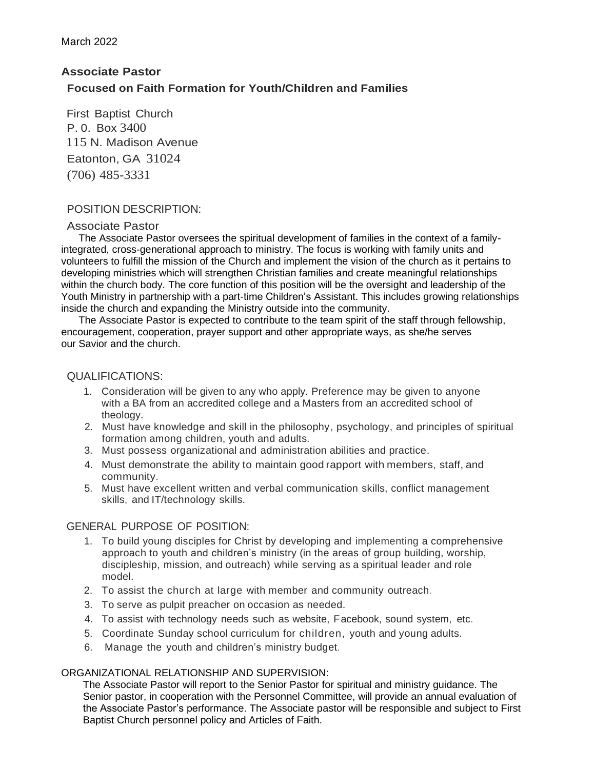# **Associate Pastor Focused on Faith Formation for Youth/Children and Families**

First Baptist Church P. 0. Box 3400 115 N. Madison Avenue Eatonton, GA 31024 (706) 485-3331

### POSITION DESCRIPTION:

#### Associate Pastor

The Associate Pastor oversees the spiritual development of families in the context of a familyintegrated, cross-generational approach to ministry. The focus is working with family units and volunteers to fulfill the mission of the Church and implement the vision of the church as it pertains to developing ministries which will strengthen Christian families and create meaningful relationships within the church body. The core function of this position will be the oversight and leadership of the Youth Ministry in partnership with a part-time Children's Assistant. This includes growing relationships inside the church and expanding the Ministry outside into the community.

The Associate Pastor is expected to contribute to the team spirit of the staff through fellowship, encouragement, cooperation, prayer support and other appropriate ways, as she/he serves our Savior and the church.

## QUALIFICATIONS:

- 1. Consideration will be given to any who apply. Preference may be given to anyone with a BA from an accredited college and a Masters from an accredited school of theology.
- 2. Must have knowledge and skill in the philosophy, psychology, and principles of spiritual formation among children, youth and adults.
- 3. Must possess organizational and administration abilities and practice.
- 4. Must demonstrate the ability to maintain good rapport with members, staff, and community.
- 5. Must have excellent written and verbal communication skills, conflict management skills, and IT/technology skills.

## GENERAL PURPOSE OF POSITION:

- 1. To build young disciples for Christ by developing and implementing a comprehensive approach to youth and children's ministry (in the areas of group building, worship, discipleship, mission, and outreach) while serving as a spiritual leader and role model.
- 2. To assist the church at large with member and community outreach.
- 3. To serve as pulpit preacher on occasion as needed.
- 4. To assist with technology needs such as website, Facebook, sound system, etc.
- 5. Coordinate Sunday school curriculum for children, youth and young adults.
- 6. Manage the youth and children's ministry budget.

#### ORGANIZATIONAL RELATIONSHIP AND SUPERVISION:

The Associate Pastor will report to the Senior Pastor for spiritual and ministry guidance. The Senior pastor, in cooperation with the Personnel Committee, will provide an annual evaluation of the Associate Pastor's performance. The Associate pastor will be responsible and subject to First Baptist Church personnel policy and Articles of Faith.